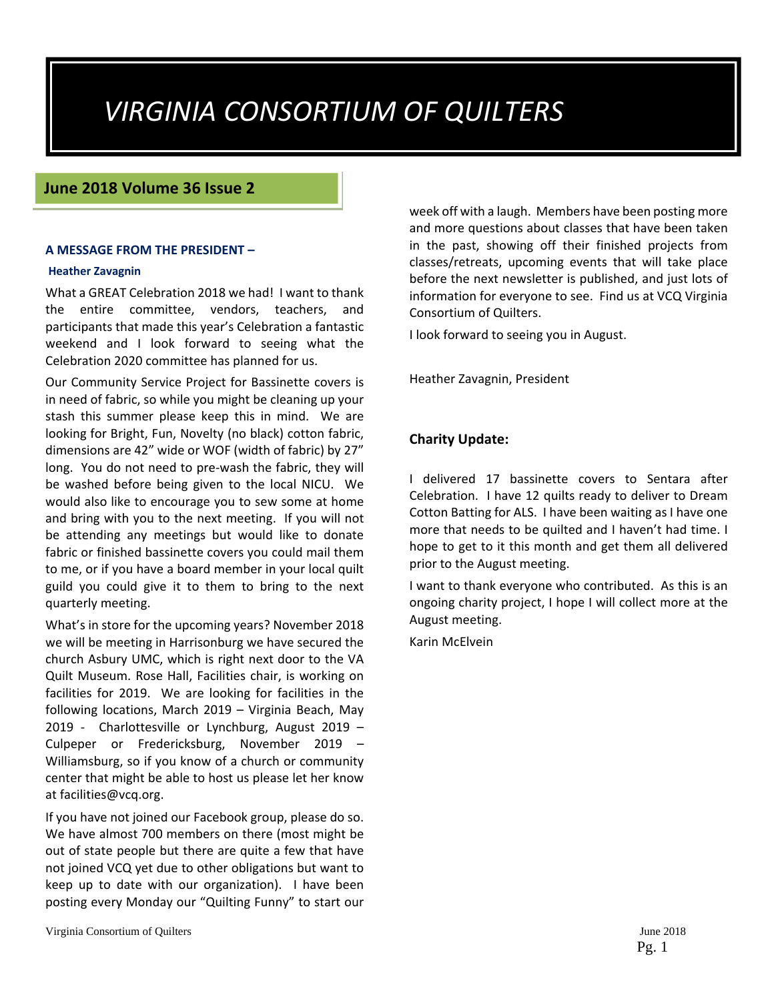# *VIRGINIA CONSORTIUM OF QUILTERS*

#### **June 2018 Volume 36 Issue 2**

#### **A MESSAGE FROM THE PRESIDENT –**

#### **Heather Zavagnin**

What a GREAT Celebration 2018 we had! I want to thank the entire committee, vendors, teachers, and participants that made this year's Celebration a fantastic weekend and I look forward to seeing what the Celebration 2020 committee has planned for us.

Our Community Service Project for Bassinette covers is in need of fabric, so while you might be cleaning up your stash this summer please keep this in mind. We are looking for Bright, Fun, Novelty (no black) cotton fabric, dimensions are 42" wide or WOF (width of fabric) by 27" long. You do not need to pre‐wash the fabric, they will be washed before being given to the local NICU. We would also like to encourage you to sew some at home and bring with you to the next meeting. If you will not be attending any meetings but would like to donate fabric or finished bassinette covers you could mail them to me, or if you have a board member in your local quilt guild you could give it to them to bring to the next quarterly meeting.

What's in store for the upcoming years? November 2018 we will be meeting in Harrisonburg we have secured the church Asbury UMC, which is right next door to the VA Quilt Museum. Rose Hall, Facilities chair, is working on facilities for 2019. We are looking for facilities in the following locations, March 2019 – Virginia Beach, May 2019 - Charlottesville or Lynchburg, August 2019 -Culpeper or Fredericksburg, November 2019 – Williamsburg, so if you know of a church or community center that might be able to host us please let her know at facilities@vcq.org.

If you have not joined our Facebook group, please do so. We have almost 700 members on there (most might be out of state people but there are quite a few that have not joined VCQ yet due to other obligations but want to keep up to date with our organization). I have been posting every Monday our "Quilting Funny" to start our week off with a laugh. Members have been posting more and more questions about classes that have been taken in the past, showing off their finished projects from classes/retreats, upcoming events that will take place before the next newsletter is published, and just lots of information for everyone to see. Find us at VCQ Virginia Consortium of Quilters.

I look forward to seeing you in August.

Heather Zavagnin, President

#### **Charity Update:**

I delivered 17 bassinette covers to Sentara after Celebration. I have 12 quilts ready to deliver to Dream Cotton Batting for ALS. I have been waiting as I have one more that needs to be quilted and I haven't had time. I hope to get to it this month and get them all delivered prior to the August meeting.

I want to thank everyone who contributed. As this is an ongoing charity project, I hope I will collect more at the August meeting.

Karin McElvein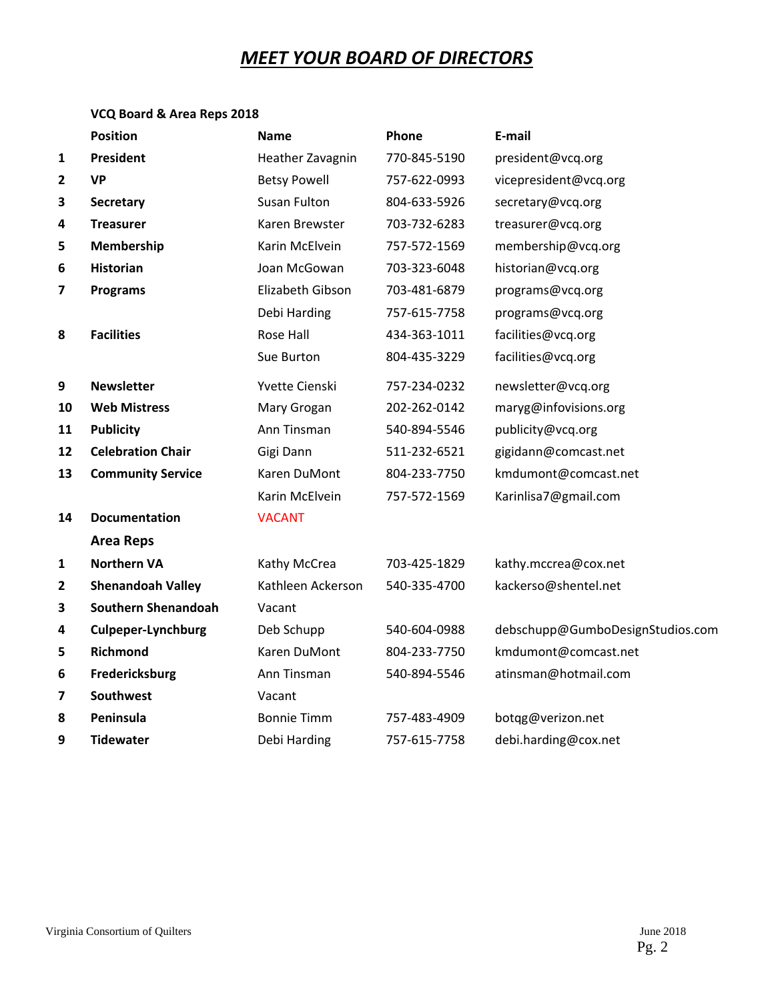## *MEET YOUR BOARD OF DIRECTORS*

#### **VCQ Board & Area Reps 2018**

|                         | <b>Position</b>            | <b>Name</b>         | Phone        | E-mail                           |
|-------------------------|----------------------------|---------------------|--------------|----------------------------------|
| $\mathbf{1}$            | President                  | Heather Zavagnin    | 770-845-5190 | president@vcq.org                |
| $\overline{\mathbf{2}}$ | <b>VP</b>                  | <b>Betsy Powell</b> | 757-622-0993 | vicepresident@vcq.org            |
| 3                       | Secretary                  | Susan Fulton        | 804-633-5926 | secretary@vcq.org                |
| 4                       | <b>Treasurer</b>           | Karen Brewster      | 703-732-6283 | treasurer@vcq.org                |
| 5                       | Membership                 | Karin McElvein      | 757-572-1569 | membership@vcq.org               |
| 6                       | <b>Historian</b>           | Joan McGowan        | 703-323-6048 | historian@vcq.org                |
| 7                       | <b>Programs</b>            | Elizabeth Gibson    | 703-481-6879 | programs@vcq.org                 |
|                         |                            | Debi Harding        | 757-615-7758 | programs@vcq.org                 |
| 8                       | <b>Facilities</b>          | Rose Hall           | 434-363-1011 | facilities@vcq.org               |
|                         |                            | Sue Burton          | 804-435-3229 | facilities@vcq.org               |
| 9                       | <b>Newsletter</b>          | Yvette Cienski      | 757-234-0232 | newsletter@vcq.org               |
| 10                      | <b>Web Mistress</b>        | Mary Grogan         | 202-262-0142 | maryg@infovisions.org            |
| 11                      | <b>Publicity</b>           | Ann Tinsman         | 540-894-5546 | publicity@vcq.org                |
| 12                      | <b>Celebration Chair</b>   | Gigi Dann           | 511-232-6521 | gigidann@comcast.net             |
| 13                      | <b>Community Service</b>   | Karen DuMont        | 804-233-7750 | kmdumont@comcast.net             |
|                         |                            | Karin McElvein      | 757-572-1569 | Karinlisa7@gmail.com             |
| 14                      | <b>Documentation</b>       | <b>VACANT</b>       |              |                                  |
|                         | <b>Area Reps</b>           |                     |              |                                  |
| $\mathbf{1}$            | <b>Northern VA</b>         | Kathy McCrea        | 703-425-1829 | kathy.mccrea@cox.net             |
| $\mathbf{2}$            | <b>Shenandoah Valley</b>   | Kathleen Ackerson   | 540-335-4700 | kackerso@shentel.net             |
| 3                       | <b>Southern Shenandoah</b> | Vacant              |              |                                  |
| 4                       | <b>Culpeper-Lynchburg</b>  | Deb Schupp          | 540-604-0988 | debschupp@GumboDesignStudios.com |
| 5                       | <b>Richmond</b>            | Karen DuMont        | 804-233-7750 | kmdumont@comcast.net             |
| 6                       | Fredericksburg             | Ann Tinsman         | 540-894-5546 | atinsman@hotmail.com             |
| 7                       | <b>Southwest</b>           | Vacant              |              |                                  |
| 8                       | Peninsula                  | <b>Bonnie Timm</b>  | 757-483-4909 | botqg@verizon.net                |
| 9                       | <b>Tidewater</b>           | Debi Harding        | 757-615-7758 | debi.harding@cox.net             |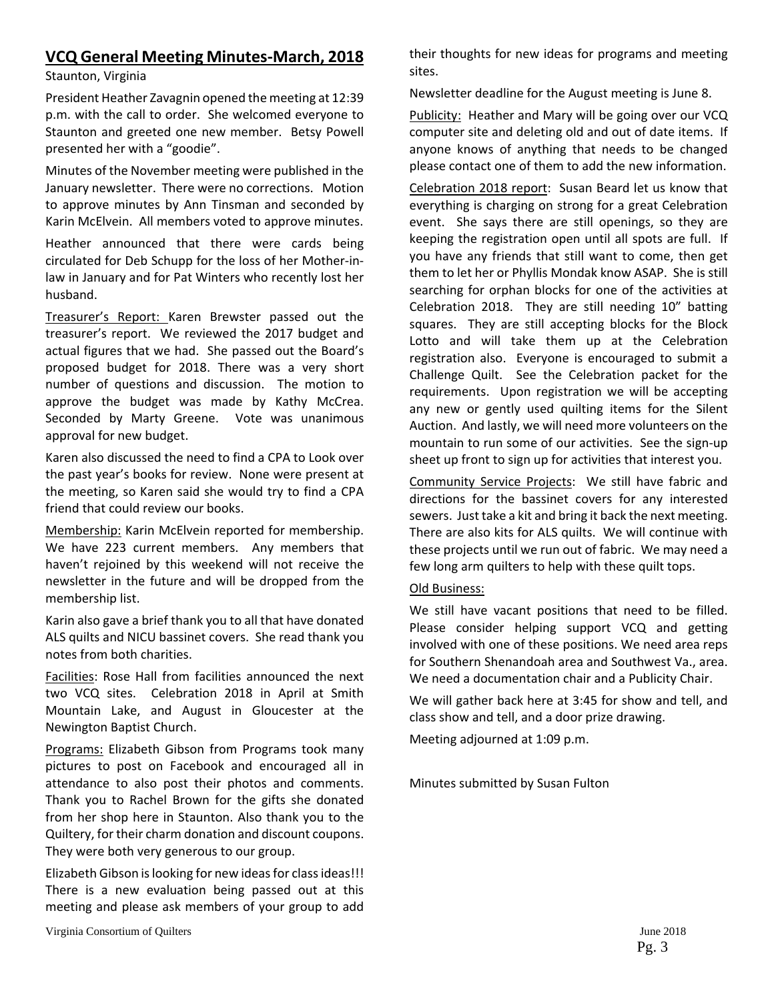## **VCQ General Meeting Minutes‐March, 2018**

#### Staunton, Virginia

President Heather Zavagnin opened the meeting at 12:39 p.m. with the call to order. She welcomed everyone to Staunton and greeted one new member. Betsy Powell presented her with a "goodie".

Minutes of the November meeting were published in the January newsletter. There were no corrections. Motion to approve minutes by Ann Tinsman and seconded by Karin McElvein. All members voted to approve minutes.

Heather announced that there were cards being circulated for Deb Schupp for the loss of her Mother‐in‐ law in January and for Pat Winters who recently lost her husband.

Treasurer's Report: Karen Brewster passed out the treasurer's report. We reviewed the 2017 budget and actual figures that we had. She passed out the Board's proposed budget for 2018. There was a very short number of questions and discussion. The motion to approve the budget was made by Kathy McCrea. Seconded by Marty Greene. Vote was unanimous approval for new budget.

Karen also discussed the need to find a CPA to Look over the past year's books for review. None were present at the meeting, so Karen said she would try to find a CPA friend that could review our books.

Membership: Karin McElvein reported for membership. We have 223 current members. Any members that haven't rejoined by this weekend will not receive the newsletter in the future and will be dropped from the membership list.

Karin also gave a brief thank you to all that have donated ALS quilts and NICU bassinet covers. She read thank you notes from both charities.

Facilities: Rose Hall from facilities announced the next two VCQ sites. Celebration 2018 in April at Smith Mountain Lake, and August in Gloucester at the Newington Baptist Church.

Programs: Elizabeth Gibson from Programs took many pictures to post on Facebook and encouraged all in attendance to also post their photos and comments. Thank you to Rachel Brown for the gifts she donated from her shop here in Staunton. Also thank you to the Quiltery, for their charm donation and discount coupons. They were both very generous to our group.

Elizabeth Gibson islooking for new ideasfor classideas!!! There is a new evaluation being passed out at this meeting and please ask members of your group to add

their thoughts for new ideas for programs and meeting sites.

Newsletter deadline for the August meeting is June 8.

Publicity: Heather and Mary will be going over our VCQ computer site and deleting old and out of date items. If anyone knows of anything that needs to be changed please contact one of them to add the new information.

Celebration 2018 report: Susan Beard let us know that everything is charging on strong for a great Celebration event. She says there are still openings, so they are keeping the registration open until all spots are full. If you have any friends that still want to come, then get them to let her or Phyllis Mondak know ASAP. She is still searching for orphan blocks for one of the activities at Celebration 2018. They are still needing 10" batting squares. They are still accepting blocks for the Block Lotto and will take them up at the Celebration registration also. Everyone is encouraged to submit a Challenge Quilt. See the Celebration packet for the requirements. Upon registration we will be accepting any new or gently used quilting items for the Silent Auction. And lastly, we will need more volunteers on the mountain to run some of our activities. See the sign‐up sheet up front to sign up for activities that interest you.

Community Service Projects: We still have fabric and directions for the bassinet covers for any interested sewers. Just take a kit and bring it back the next meeting. There are also kits for ALS quilts. We will continue with these projects until we run out of fabric. We may need a few long arm quilters to help with these quilt tops.

#### Old Business:

We still have vacant positions that need to be filled. Please consider helping support VCQ and getting involved with one of these positions. We need area reps for Southern Shenandoah area and Southwest Va., area. We need a documentation chair and a Publicity Chair.

We will gather back here at 3:45 for show and tell, and class show and tell, and a door prize drawing.

Meeting adjourned at 1:09 p.m.

Minutes submitted by Susan Fulton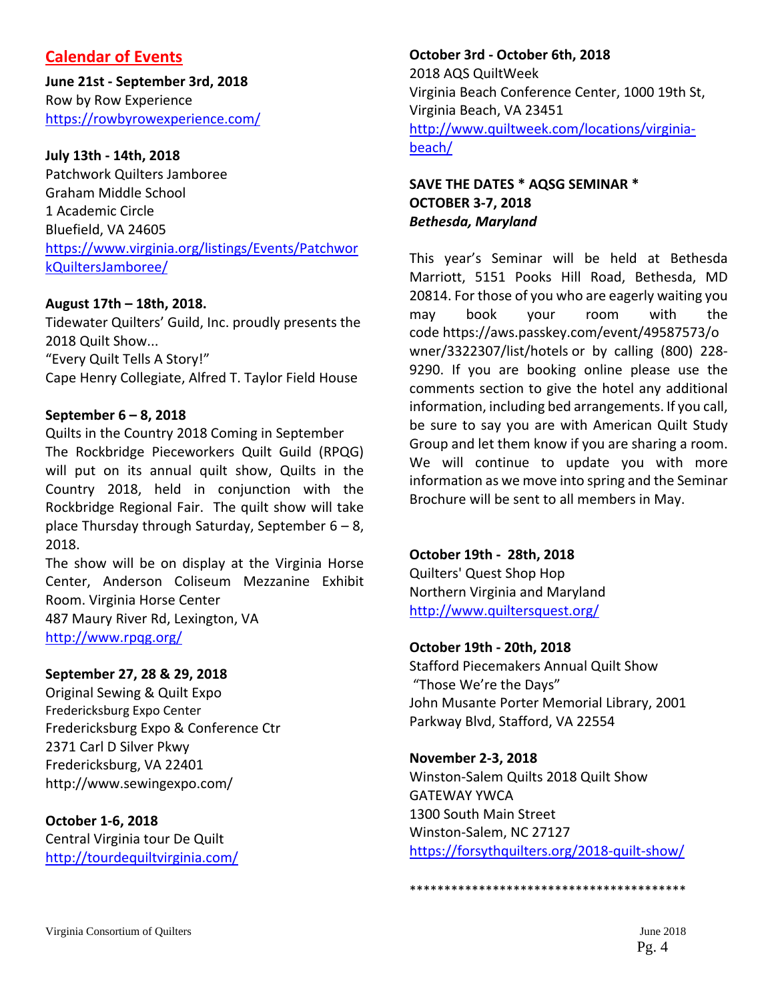## **Calendar of Events**

**June 21st ‐ September 3rd, 2018**  Row by Row Experience https://rowbyrowexperience.com/

#### **July 13th ‐ 14th, 2018**

Patchwork Quilters Jamboree Graham Middle School 1 Academic Circle Bluefield, VA 24605 https://www.virginia.org/listings/Events/Patchwor kQuiltersJamboree/

#### **August 17th – 18th, 2018.**

Tidewater Quilters' Guild, Inc. proudly presents the 2018 Quilt Show... "Every Quilt Tells A Story!" Cape Henry Collegiate, Alfred T. Taylor Field House

#### **September 6 – 8, 2018**

Quilts in the Country 2018 Coming in September The Rockbridge Pieceworkers Quilt Guild (RPQG) will put on its annual quilt show, Quilts in the Country 2018, held in conjunction with the Rockbridge Regional Fair. The quilt show will take place Thursday through Saturday, September 6 – 8, 2018.

The show will be on display at the Virginia Horse Center, Anderson Coliseum Mezzanine Exhibit Room. Virginia Horse Center 487 Maury River Rd, Lexington, VA http://www.rpqg.org/

#### **September 27, 28 & 29, 2018**

Original Sewing & Quilt Expo Fredericksburg Expo Center Fredericksburg Expo & Conference Ctr 2371 Carl D Silver Pkwy Fredericksburg, VA 22401 http://www.sewingexpo.com/

#### **October 1‐6, 2018** Central Virginia tour De Quilt

http://tourdequiltvirginia.com/

## **October 3rd ‐ October 6th, 2018**

2018 AQS QuiltWeek Virginia Beach Conference Center, 1000 19th St, Virginia Beach, VA 23451 http://www.quiltweek.com/locations/virginia‐ beach/

#### **SAVE THE DATES \* AQSG SEMINAR \* OCTOBER 3‐7, 2018** *Bethesda, Maryland*

This year's Seminar will be held at Bethesda Marriott, 5151 Pooks Hill Road, Bethesda, MD 20814. For those of you who are eagerly waiting you may book your room with the code https://aws.passkey.com/event/49587573/o wner/3322307/list/hotels or by calling (800) 228‐ 9290. If you are booking online please use the comments section to give the hotel any additional information, including bed arrangements. If you call, be sure to say you are with American Quilt Study Group and let them know if you are sharing a room. We will continue to update you with more information as we move into spring and the Seminar Brochure will be sent to all members in May.

#### **October 19th ‐ 28th, 2018**

Quilters' Quest Shop Hop Northern Virginia and Maryland http://www.quiltersquest.org/

#### **October 19th ‐ 20th, 2018**

Stafford Piecemakers Annual Quilt Show "Those We're the Days" John Musante Porter Memorial Library, 2001 Parkway Blvd, Stafford, VA 22554

#### **November 2‐3, 2018**

Winston‐Salem Quilts 2018 Quilt Show GATEWAY YWCA 1300 South Main Street Winston‐Salem, NC 27127 https://forsythquilters.org/2018-quilt-show/

```
****************************************
```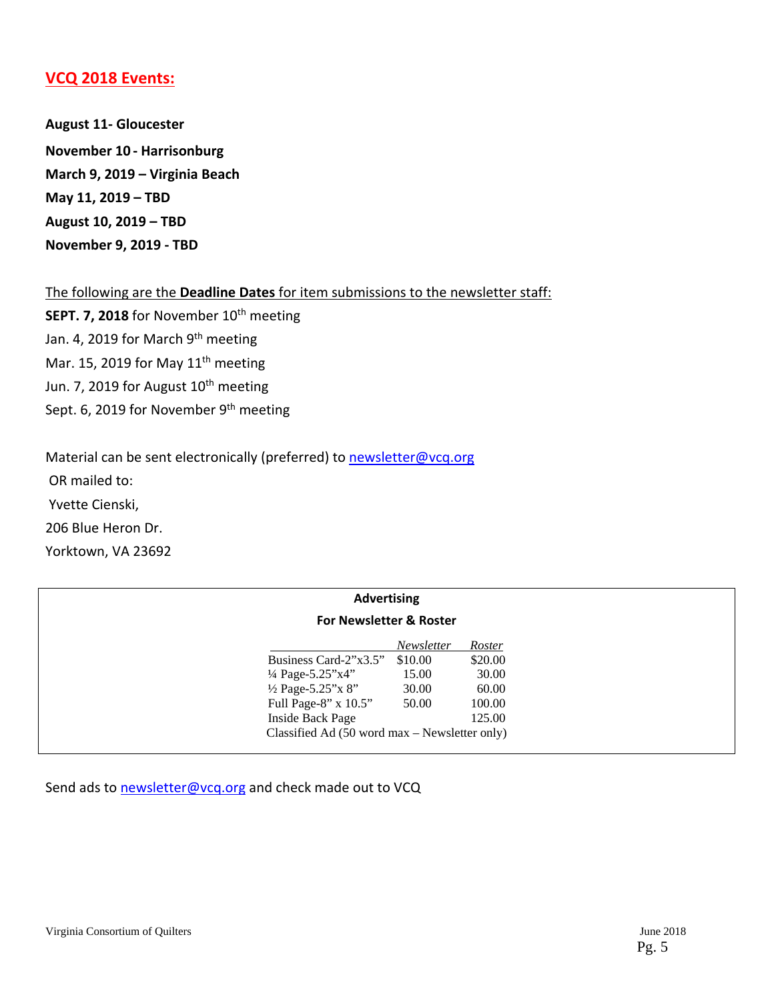#### **VCQ 2018 Events:**

**August 11‐ Gloucester November 10 ‐ Harrisonburg March 9, 2019 – Virginia Beach May 11, 2019 – TBD August 10, 2019 – TBD November 9, 2019 ‐ TBD**

The following are the **Deadline Dates** for item submissions to the newsletter staff:

**SEPT. 7, 2018** for November 10<sup>th</sup> meeting Jan. 4, 2019 for March 9th meeting Mar. 15, 2019 for May  $11<sup>th</sup>$  meeting Jun. 7, 2019 for August 10<sup>th</sup> meeting Sept. 6, 2019 for November 9<sup>th</sup> meeting

Material can be sent electronically (preferred) to newsletter@vcq.org OR mailed to: Yvette Cienski, 206 Blue Heron Dr. Yorktown, VA 23692

| <b>Advertising</b><br><b>For Newsletter &amp; Roster</b> |                                               |         |         |  |
|----------------------------------------------------------|-----------------------------------------------|---------|---------|--|
|                                                          |                                               |         |         |  |
|                                                          | Business Card-2"x3.5"                         | \$10.00 | \$20.00 |  |
|                                                          | 1/4 Page-5.25"x4"                             | 15.00   | 30.00   |  |
|                                                          | $\frac{1}{2}$ Page-5.25"x 8"                  | 30.00   | 60.00   |  |
|                                                          | Full Page-8" x 10.5"                          | 50.00   | 100.00  |  |
|                                                          | Inside Back Page                              |         | 125.00  |  |
|                                                          | Classified Ad (50 word max – Newsletter only) |         |         |  |

Send ads to newsletter@vcq.org and check made out to VCQ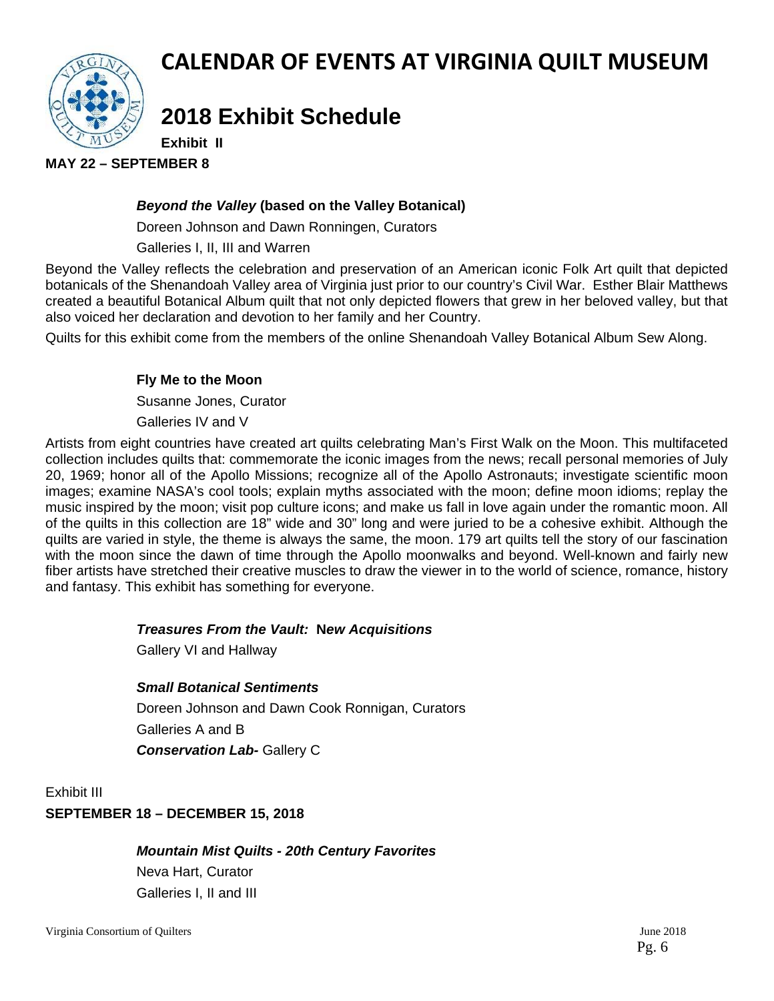

## **CALENDAR OF EVENTS AT VIRGINIA QUILT MUSEUM**

# **2018 Exhibit Schedule**

**Exhibit II** 

**MAY 22 – SEPTEMBER 8** 

#### *Beyond the Valley* **(based on the Valley Botanical)**

Doreen Johnson and Dawn Ronningen, Curators

Galleries I, II, III and Warren

Beyond the Valley reflects the celebration and preservation of an American iconic Folk Art quilt that depicted botanicals of the Shenandoah Valley area of Virginia just prior to our country's Civil War. Esther Blair Matthews created a beautiful Botanical Album quilt that not only depicted flowers that grew in her beloved valley, but that also voiced her declaration and devotion to her family and her Country.

Quilts for this exhibit come from the members of the online Shenandoah Valley Botanical Album Sew Along.

#### **Fly Me to the Moon**

Susanne Jones, Curator

Galleries IV and V

Artists from eight countries have created art quilts celebrating Man's First Walk on the Moon. This multifaceted collection includes quilts that: commemorate the iconic images from the news; recall personal memories of July 20, 1969; honor all of the Apollo Missions; recognize all of the Apollo Astronauts; investigate scientific moon images; examine NASA's cool tools; explain myths associated with the moon; define moon idioms; replay the music inspired by the moon; visit pop culture icons; and make us fall in love again under the romantic moon. All of the quilts in this collection are 18" wide and 30" long and were juried to be a cohesive exhibit. Although the quilts are varied in style, the theme is always the same, the moon. 179 art quilts tell the story of our fascination with the moon since the dawn of time through the Apollo moonwalks and beyond. Well-known and fairly new fiber artists have stretched their creative muscles to draw the viewer in to the world of science, romance, history and fantasy. This exhibit has something for everyone.

#### *Treasures From the Vault:* **N***ew Acquisitions*

Gallery VI and Hallway

#### *Small Botanical Sentiments*

Doreen Johnson and Dawn Cook Ronnigan, Curators Galleries A and B **Conservation Lab- Gallery C** 

Exhibit III

#### **SEPTEMBER 18 – DECEMBER 15, 2018**

*Mountain Mist Quilts - 20th Century Favorites*  Neva Hart, Curator

Galleries I, II and III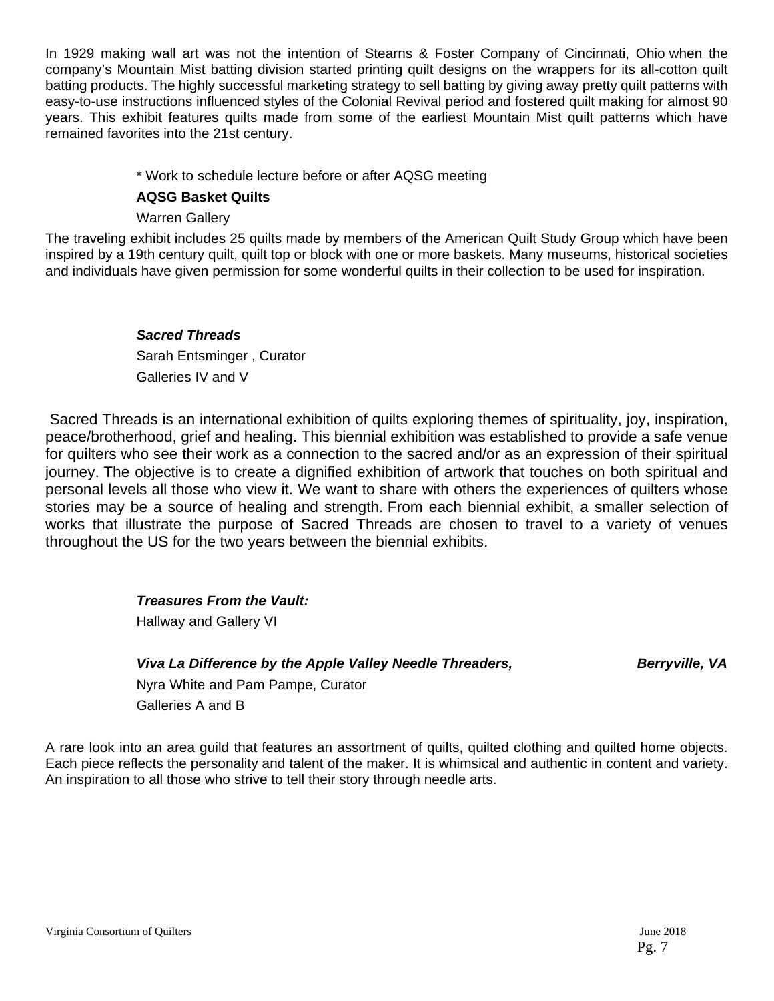In 1929 making wall art was not the intention of Stearns & Foster Company of Cincinnati, Ohio when the company's Mountain Mist batting division started printing quilt designs on the wrappers for its all-cotton quilt batting products. The highly successful marketing strategy to sell batting by giving away pretty quilt patterns with easy-to-use instructions influenced styles of the Colonial Revival period and fostered quilt making for almost 90 years. This exhibit features quilts made from some of the earliest Mountain Mist quilt patterns which have remained favorites into the 21st century.

#### \* Work to schedule lecture before or after AQSG meeting

#### **AQSG Basket Quilts**

Warren Gallery

The traveling exhibit includes 25 quilts made by members of the American Quilt Study Group which have been inspired by a 19th century quilt, quilt top or block with one or more baskets. Many museums, historical societies and individuals have given permission for some wonderful quilts in their collection to be used for inspiration.

> *Sacred Threads*Sarah Entsminger , Curator Galleries IV and V

 Sacred Threads is an international exhibition of quilts exploring themes of spirituality, joy, inspiration, peace/brotherhood, grief and healing. This biennial exhibition was established to provide a safe venue for quilters who see their work as a connection to the sacred and/or as an expression of their spiritual journey. The objective is to create a dignified exhibition of artwork that touches on both spiritual and personal levels all those who view it. We want to share with others the experiences of quilters whose stories may be a source of healing and strength. From each biennial exhibit, a smaller selection of works that illustrate the purpose of Sacred Threads are chosen to travel to a variety of venues throughout the US for the two years between the biennial exhibits.

*Treasures From the Vault:* 

**Hallway and Gallery VI** 

*Viva La Difference by the Apple Valley Needle Threaders, Berryville, VA <i>Berryville, VA* 

Nyra White and Pam Pampe, Curator Galleries A and B

A rare look into an area guild that features an assortment of quilts, quilted clothing and quilted home objects. Each piece reflects the personality and talent of the maker. It is whimsical and authentic in content and variety. An inspiration to all those who strive to tell their story through needle arts.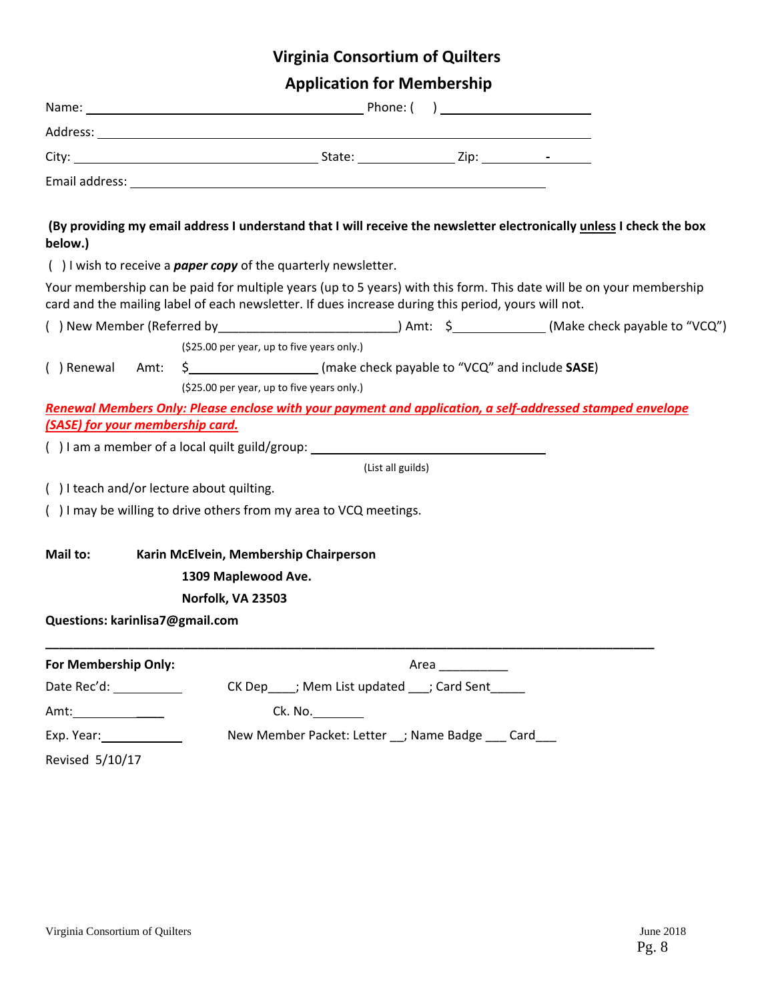| <b>Application for Membership</b> |  |  |
|-----------------------------------|--|--|
|                                   |  |  |

| below.)                          |                                           | (By providing my email address I understand that I will receive the newsletter electronically unless I check the box                                                                                                       |                   |  |                                                                                                                 |
|----------------------------------|-------------------------------------------|----------------------------------------------------------------------------------------------------------------------------------------------------------------------------------------------------------------------------|-------------------|--|-----------------------------------------------------------------------------------------------------------------|
|                                  |                                           | $( )$ I wish to receive a <b>paper copy</b> of the quarterly newsletter.                                                                                                                                                   |                   |  |                                                                                                                 |
|                                  |                                           | Your membership can be paid for multiple years (up to 5 years) with this form. This date will be on your membership<br>card and the mailing label of each newsletter. If dues increase during this period, yours will not. |                   |  |                                                                                                                 |
|                                  |                                           |                                                                                                                                                                                                                            |                   |  | () New Member (Referred by ________________________________) Amt: \$______________(Make check payable to "VCQ") |
|                                  |                                           | (\$25.00 per year, up to five years only.)                                                                                                                                                                                 |                   |  |                                                                                                                 |
|                                  |                                           | () Renewal Amt: $\frac{2}{3}$ (make check payable to "VCQ" and include SASE)                                                                                                                                               |                   |  |                                                                                                                 |
|                                  |                                           | (\$25.00 per year, up to five years only.)                                                                                                                                                                                 |                   |  |                                                                                                                 |
|                                  |                                           | Renewal Members Only: Please enclose with your payment and application, a self-addressed stamped envelope                                                                                                                  |                   |  |                                                                                                                 |
| (SASE) for your membership card. |                                           |                                                                                                                                                                                                                            |                   |  |                                                                                                                 |
|                                  |                                           | () I am a member of a local quilt guild/group: example a set of a local quilt guild/group:                                                                                                                                 |                   |  |                                                                                                                 |
|                                  |                                           |                                                                                                                                                                                                                            | (List all guilds) |  |                                                                                                                 |
|                                  | () I teach and/or lecture about quilting. |                                                                                                                                                                                                                            |                   |  |                                                                                                                 |
|                                  |                                           | () I may be willing to drive others from my area to VCQ meetings.                                                                                                                                                          |                   |  |                                                                                                                 |
| Mail to:                         |                                           | Karin McElvein, Membership Chairperson                                                                                                                                                                                     |                   |  |                                                                                                                 |
|                                  | 1309 Maplewood Ave.                       |                                                                                                                                                                                                                            |                   |  |                                                                                                                 |
|                                  | Norfolk, VA 23503                         |                                                                                                                                                                                                                            |                   |  |                                                                                                                 |
| Questions: karinlisa7@gmail.com  |                                           |                                                                                                                                                                                                                            |                   |  |                                                                                                                 |
| For Membership Only:             |                                           |                                                                                                                                                                                                                            | Area              |  |                                                                                                                 |
| Date Rec'd: ___________          |                                           | CK Dep____; Mem List updated ___; Card Sent_____                                                                                                                                                                           |                   |  |                                                                                                                 |
| Amt:_____________                |                                           | Ck. No.                                                                                                                                                                                                                    |                   |  |                                                                                                                 |
| Exp. Year: 1990                  |                                           | New Member Packet: Letter __; Name Badge ___ Card___                                                                                                                                                                       |                   |  |                                                                                                                 |
| Revised 5/10/17                  |                                           |                                                                                                                                                                                                                            |                   |  |                                                                                                                 |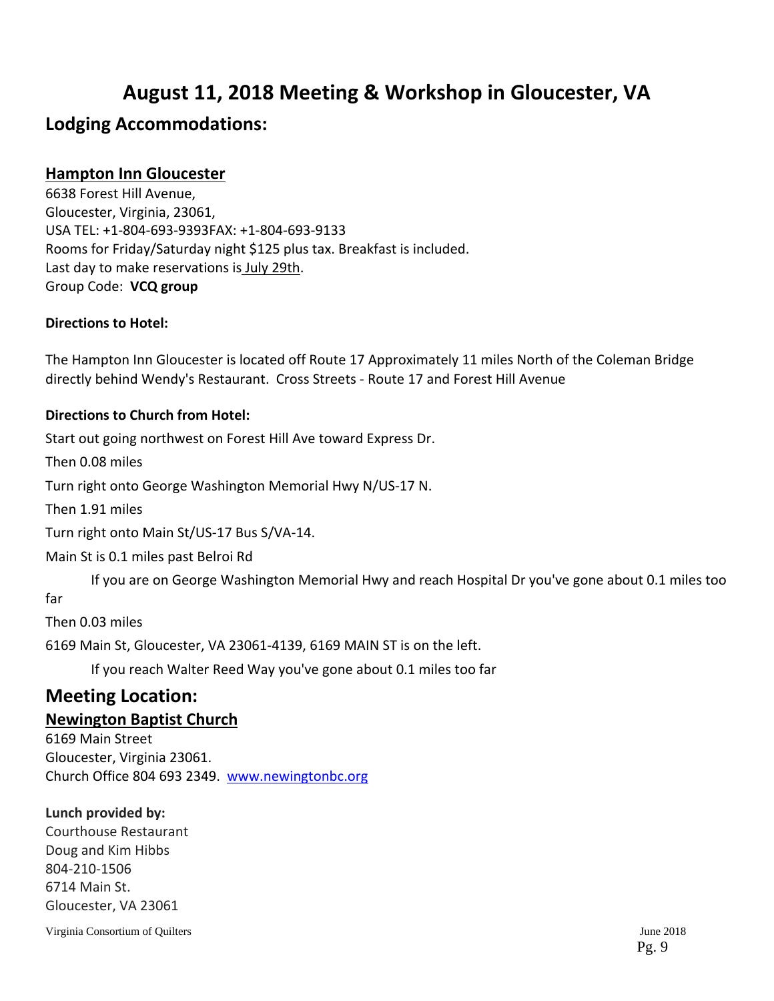## **August 11, 2018 Meeting & Workshop in Gloucester, VA**

## **Lodging Accommodations:**

### **Hampton Inn Gloucester**

6638 Forest Hill Avenue, Gloucester, Virginia, 23061, USA TEL: +1‐804‐693‐9393FAX: +1‐804‐693‐9133 Rooms for Friday/Saturday night \$125 plus tax. Breakfast is included. Last day to make reservations is July 29th. Group Code: **VCQ group**

#### **Directions to Hotel:**

The Hampton Inn Gloucester is located off Route 17 Approximately 11 miles North of the Coleman Bridge directly behind Wendy's Restaurant. Cross Streets ‐ Route 17 and Forest Hill Avenue

#### **Directions to Church from Hotel:**

Start out going northwest on Forest Hill Ave toward Express Dr.

Then 0.08 miles

Turn right onto George Washington Memorial Hwy N/US‐17 N.

Then 1.91 miles

Turn right onto Main St/US‐17 Bus S/VA‐14.

Main St is 0.1 miles past Belroi Rd

If you are on George Washington Memorial Hwy and reach Hospital Dr you've gone about 0.1 miles too

far

Then 0.03 miles

6169 Main St, Gloucester, VA 23061‐4139, 6169 MAIN ST is on the left.

If you reach Walter Reed Way you've gone about 0.1 miles too far

## **Meeting Location:**

#### **Newington Baptist Church**

6169 Main Street Gloucester, Virginia 23061. Church Office 804 693 2349. www.newingtonbc.org

#### **Lunch provided by:**

Courthouse Restaurant Doug and Kim Hibbs 804‐210‐1506 6714 Main St. Gloucester, VA 23061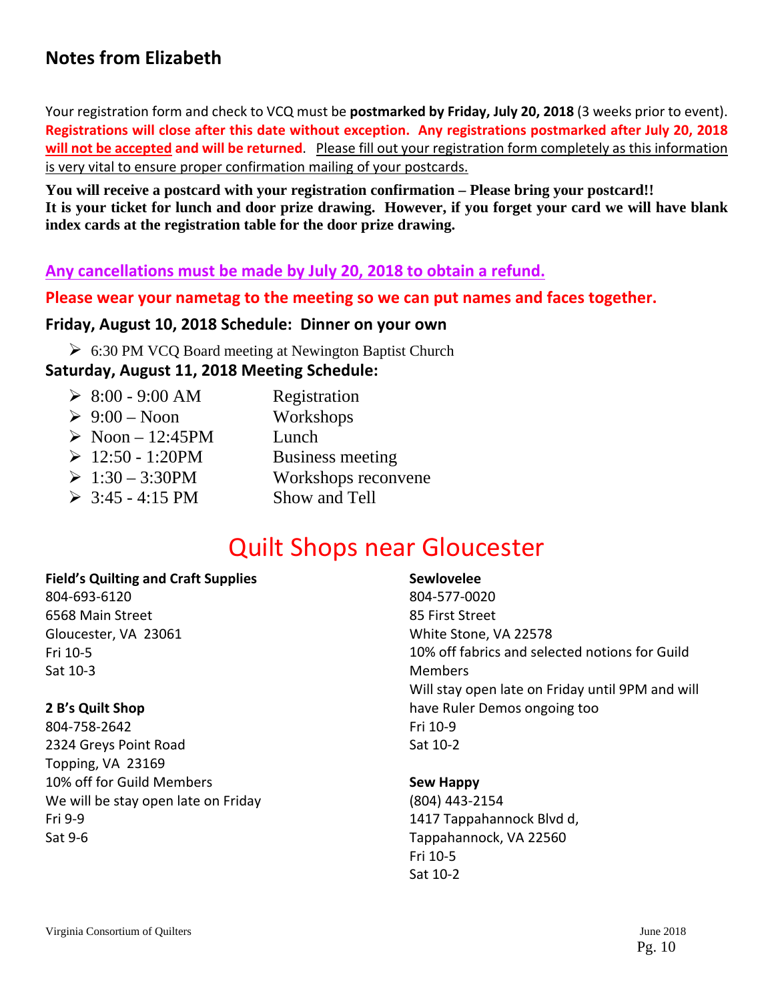## **Notes from Elizabeth**

Your registration form and check to VCQ must be **postmarked by Friday, July 20, 2018** (3 weeks prior to event). **Registrations will close after this date without exception. Any registrations postmarked after July 20, 2018 will not be accepted and will be returned**. Please fill out your registration form completely as this information is very vital to ensure proper confirmation mailing of your postcards.

**You will receive a postcard with your registration confirmation – Please bring your postcard!! It is your ticket for lunch and door prize drawing. However, if you forget your card we will have blank index cards at the registration table for the door prize drawing.** 

#### **Any cancellations must be made by July 20, 2018 to obtain a refund.**

**Please wear your nametag to the meeting so we can put names and faces together.**

#### **Friday, August 10, 2018 Schedule: Dinner on your own**

6:30 PM VCQ Board meeting at Newington Baptist Church

#### **Saturday, August 11, 2018 Meeting Schedule:**

 $\geq 8:00 - 9:00$  AM Registration  $\geq 9:00$  – Noon Workshops  $\triangleright$  Noon – 12:45PM Lunch  $\geq 12:50 - 1:20$ PM Business meeting  $\geq 1:30 - 3:30 PM$  Workshops reconvene  $\geq 3:45 - 4:15 \text{ PM}$  Show and Tell

## Quilt Shops near Gloucester

#### **Field's Quilting and Craft Supplies**

804‐693‐6120 6568 Main Street Gloucester, VA 23061 Fri 10‐5 Sat 10‐3

#### **2 B's Quilt Shop**

804‐758‐2642 2324 Greys Point Road Topping, VA 23169 10% off for Guild Members We will be stay open late on Friday Fri 9‐9 Sat 9‐6

#### **Sewlovelee**

804‐577‐0020 85 First Street White Stone, VA 22578 10% off fabrics and selected notions for Guild Members Will stay open late on Friday until 9PM and will have Ruler Demos ongoing too Fri 10‐9 Sat 10‐2

#### **Sew Happy**

(804) 443‐2154 1417 Tappahannock Blvd d, Tappahannock, VA 22560 Fri 10‐5 Sat 10‐2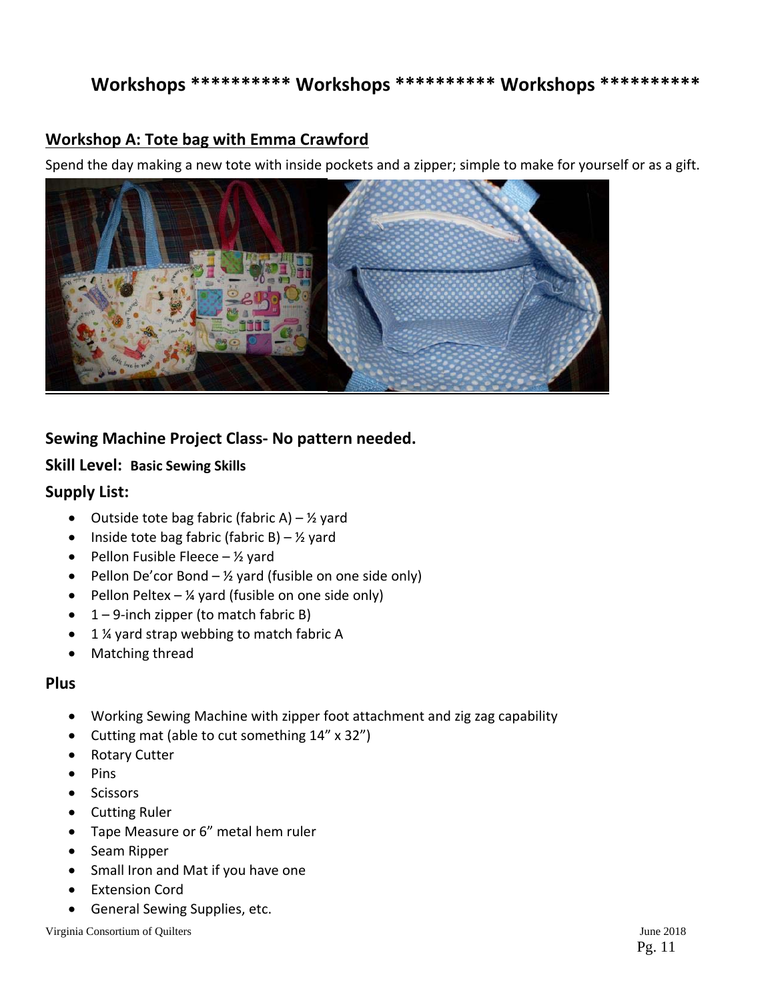## **Workshops \*\*\*\*\*\*\*\*\*\* Workshops \*\*\*\*\*\*\*\*\*\* Workshops \*\*\*\*\*\*\*\*\*\***

### **Workshop A: Tote bag with Emma Crawford**

Spend the day making a new tote with inside pockets and a zipper; simple to make for yourself or as a gift.



### **Sewing Machine Project Class‐ No pattern needed.**

#### **Skill Level: Basic Sewing Skills**

#### **Supply List:**

- $\bullet$  Outside tote bag fabric (fabric A) 1/2 yard
- Inside tote bag fabric (fabric B)  $\frac{1}{2}$  yard
- Pellon Fusible Fleece  $-$  1/<sub>2</sub> yard
- Pellon De'cor Bond  $\frac{1}{2}$  yard (fusible on one side only)
- Pellon Peltex  $\frac{1}{4}$  yard (fusible on one side only)
- $\bullet$  1 9-inch zipper (to match fabric B)
- 1 ¼ yard strap webbing to match fabric A
- Matching thread

#### **Plus**

- Working Sewing Machine with zipper foot attachment and zig zag capability
- Cutting mat (able to cut something 14" x 32")
- Rotary Cutter
- $\bullet$  Pins
- **•** Scissors
- **•** Cutting Ruler
- Tape Measure or 6" metal hem ruler
- Seam Ripper
- Small Iron and Mat if you have one
- Extension Cord
- General Sewing Supplies, etc.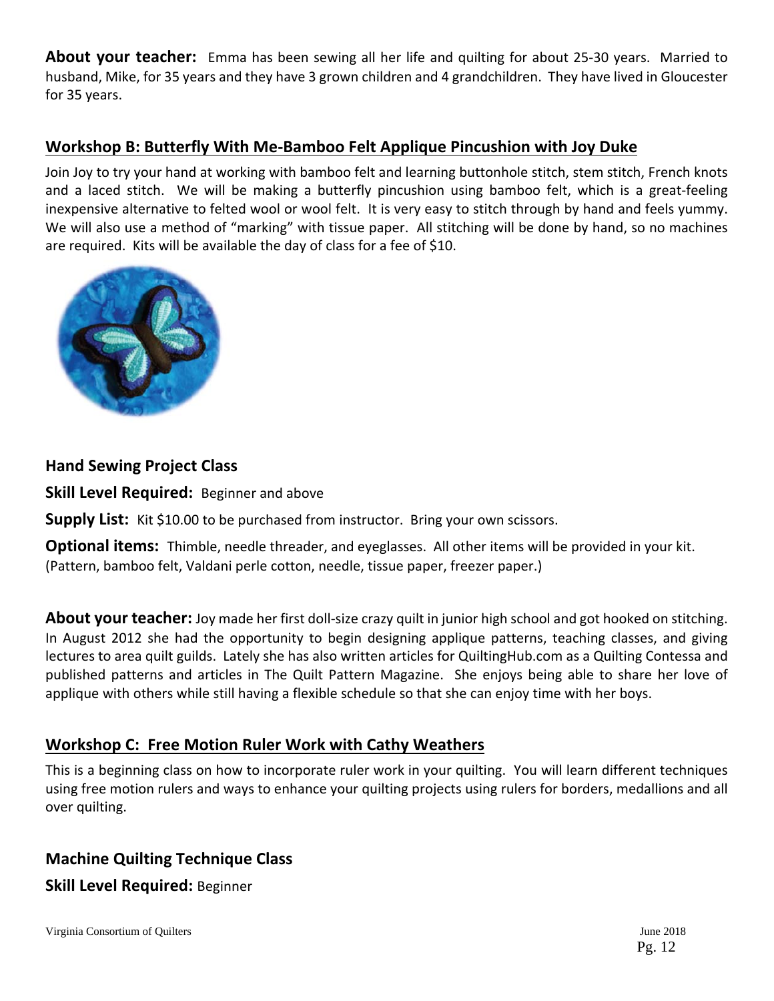**About your teacher:** Emma has been sewing all her life and quilting for about 25‐30 years. Married to husband, Mike, for 35 years and they have 3 grown children and 4 grandchildren. They have lived in Gloucester for 35 years.

## **Workshop B: Butterfly With Me‐Bamboo Felt Applique Pincushion with Joy Duke**

Join Joy to try your hand at working with bamboo felt and learning buttonhole stitch, stem stitch, French knots and a laced stitch. We will be making a butterfly pincushion using bamboo felt, which is a great-feeling inexpensive alternative to felted wool or wool felt. It is very easy to stitch through by hand and feels yummy. We will also use a method of "marking" with tissue paper. All stitching will be done by hand, so no machines are required. Kits will be available the day of class for a fee of \$10.



### **Hand Sewing Project Class**

**Skill Level Required:** Beginner and above

**Supply List:** Kit \$10.00 to be purchased from instructor. Bring your own scissors.

**Optional items:** Thimble, needle threader, and eyeglasses. All other items will be provided in your kit. (Pattern, bamboo felt, Valdani perle cotton, needle, tissue paper, freezer paper.)

**About your teacher:** Joy made her first doll‐size crazy quilt in junior high school and got hooked on stitching. In August 2012 she had the opportunity to begin designing applique patterns, teaching classes, and giving lectures to area quilt guilds. Lately she has also written articles for QuiltingHub.com as a Quilting Contessa and published patterns and articles in The Quilt Pattern Magazine. She enjoys being able to share her love of applique with others while still having a flexible schedule so that she can enjoy time with her boys.

## **Workshop C: Free Motion Ruler Work with Cathy Weathers**

This is a beginning class on how to incorporate ruler work in your quilting. You will learn different techniques using free motion rulers and ways to enhance your quilting projects using rulers for borders, medallions and all over quilting.

## **Machine Quilting Technique Class Skill Level Required:** Beginner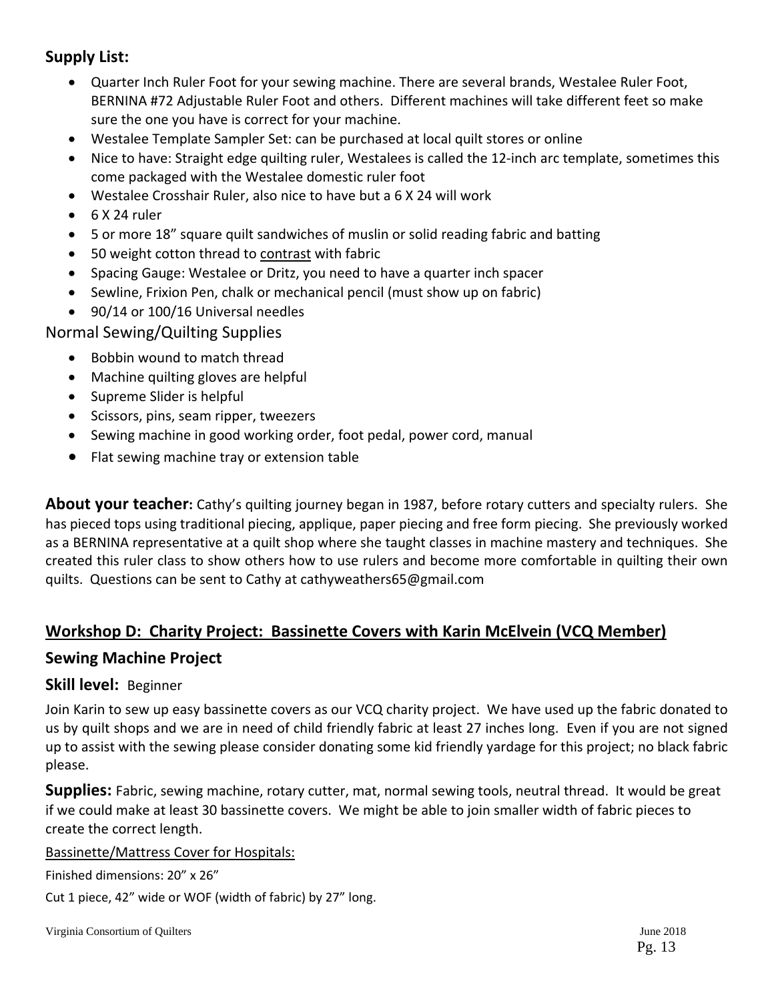## **Supply List:**

- Quarter Inch Ruler Foot for your sewing machine. There are several brands, Westalee Ruler Foot, BERNINA #72 Adjustable Ruler Foot and others. Different machines will take different feet so make sure the one you have is correct for your machine.
- Westalee Template Sampler Set: can be purchased at local quilt stores or online
- Nice to have: Straight edge quilting ruler, Westalees is called the 12-inch arc template, sometimes this come packaged with the Westalee domestic ruler foot
- Westalee Crosshair Ruler, also nice to have but a 6 X 24 will work
- $6 \times 24$  ruler
- 5 or more 18" square quilt sandwiches of muslin or solid reading fabric and batting
- 50 weight cotton thread to contrast with fabric
- Spacing Gauge: Westalee or Dritz, you need to have a quarter inch spacer
- Sewline, Frixion Pen, chalk or mechanical pencil (must show up on fabric)
- 90/14 or 100/16 Universal needles

#### Normal Sewing/Quilting Supplies

- Bobbin wound to match thread
- Machine quilting gloves are helpful
- Supreme Slider is helpful
- Scissors, pins, seam ripper, tweezers
- Sewing machine in good working order, foot pedal, power cord, manual
- Flat sewing machine tray or extension table

**About your teacher:** Cathy's quilting journey began in 1987, before rotary cutters and specialty rulers. She has pieced tops using traditional piecing, applique, paper piecing and free form piecing. She previously worked as a BERNINA representative at a quilt shop where she taught classes in machine mastery and techniques. She created this ruler class to show others how to use rulers and become more comfortable in quilting their own quilts. Questions can be sent to Cathy at cathyweathers65@gmail.com

### **Workshop D: Charity Project: Bassinette Covers with Karin McElvein (VCQ Member)**

### **Sewing Machine Project**

#### **Skill level:** Beginner

Join Karin to sew up easy bassinette covers as our VCQ charity project. We have used up the fabric donated to us by quilt shops and we are in need of child friendly fabric at least 27 inches long. Even if you are not signed up to assist with the sewing please consider donating some kid friendly yardage for this project; no black fabric please.

**Supplies:** Fabric, sewing machine, rotary cutter, mat, normal sewing tools, neutral thread. It would be great if we could make at least 30 bassinette covers. We might be able to join smaller width of fabric pieces to create the correct length.

#### Bassinette/Mattress Cover for Hospitals:

Finished dimensions: 20" x 26"

Cut 1 piece, 42" wide or WOF (width of fabric) by 27" long.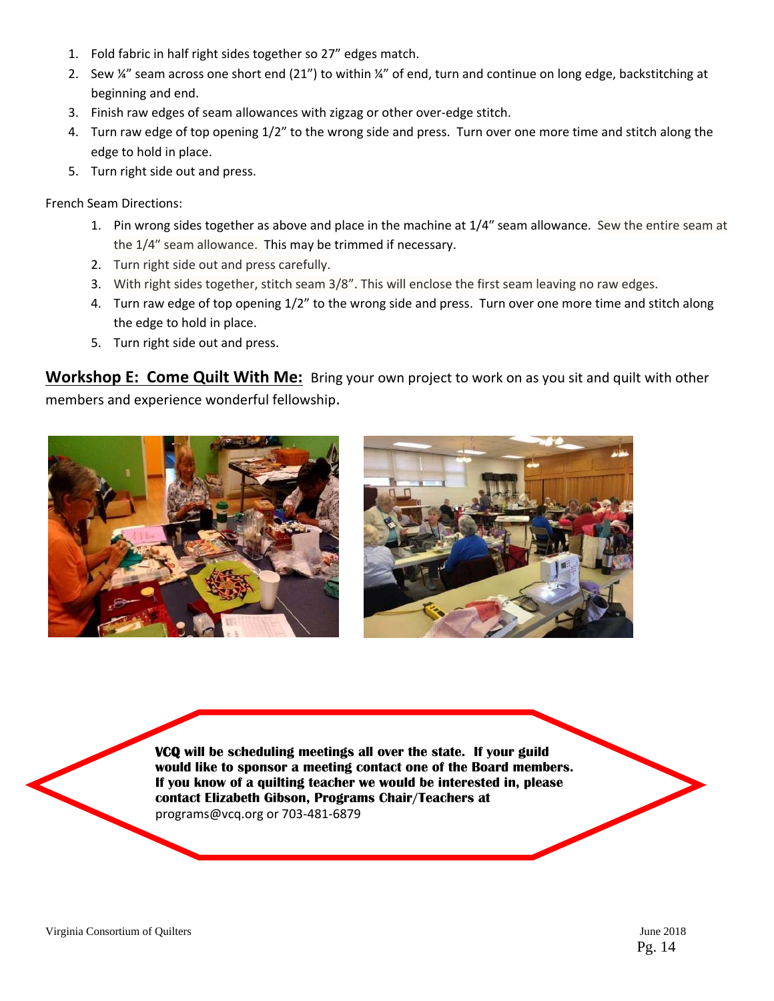- 1. Fold fabric in half right sides together so 27" edges match.
- 2. Sew ¼" seam across one short end (21") to within ¼" of end, turn and continue on long edge, backstitching at beginning and end.
- 3. Finish raw edges of seam allowances with zigzag or other over‐edge stitch.
- 4. Turn raw edge of top opening 1/2" to the wrong side and press. Turn over one more time and stitch along the edge to hold in place.
- 5. Turn right side out and press.

French Seam Directions:

- 1. Pin wrong sides together as above and place in the machine at 1/4″ seam allowance. Sew the entire seam at the 1/4″ seam allowance. This may be trimmed if necessary.
- 2. Turn right side out and press carefully.
- 3. With right sides together, stitch seam 3/8". This will enclose the first seam leaving no raw edges.
- 4. Turn raw edge of top opening 1/2" to the wrong side and press. Turn over one more time and stitch along the edge to hold in place.
- 5. Turn right side out and press.

**Workshop E: Come Quilt With Me:** Bring your own project to work on as you sit and quilt with other members and experience wonderful fellowship.





 **If you know of a quilting teacher we would be interested in, please VCQ will be scheduling meetings all over the state. If your guild would like to sponsor a meeting contact one of the Board members. contact Elizabeth Gibson, Programs Chair/Teachers at**  programs@vcq.org or 703‐481‐6879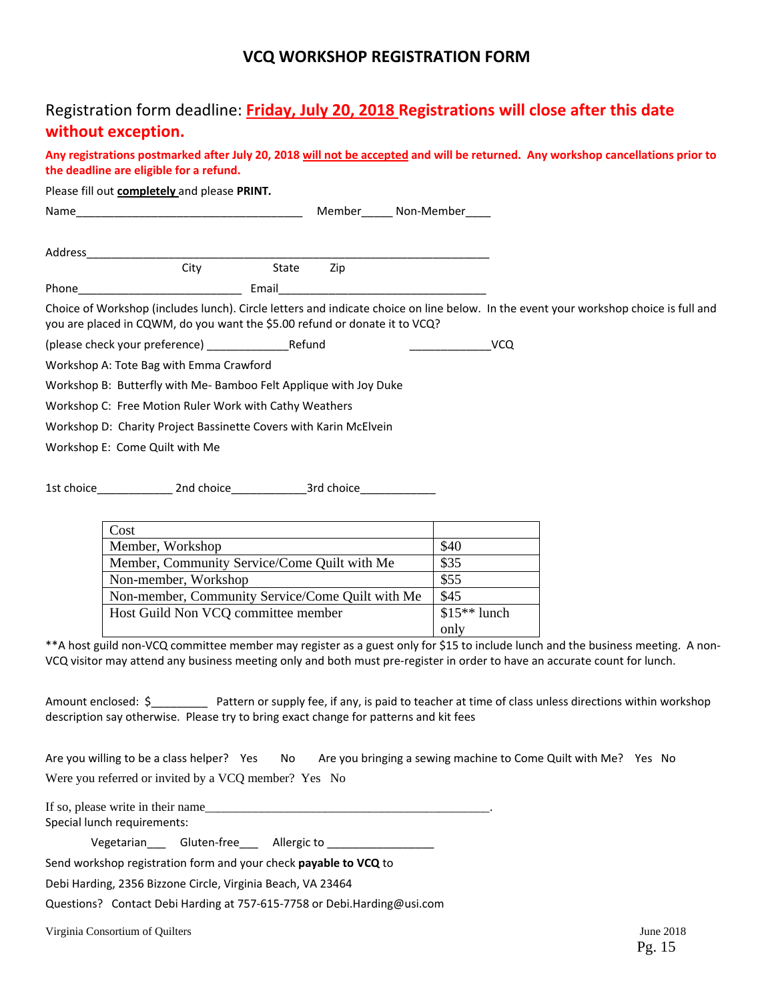### **VCQ WORKSHOP REGISTRATION FORM**

## Registration form deadline: **Friday, July 20, 2018 Registrations will close after this date without exception.**

Any registrations postmarked after July 20, 2018 will not be accepted and will be returned. Any workshop cancellations prior to **the deadline are eligible for a refund.**

Please fill out **completely** and please **PRINT***.*

| Name                                                                       |            |       | Member     | Non-Member |                                                                                                                                      |
|----------------------------------------------------------------------------|------------|-------|------------|------------|--------------------------------------------------------------------------------------------------------------------------------------|
| Address                                                                    |            |       |            |            |                                                                                                                                      |
|                                                                            | City       | State | Zip        |            |                                                                                                                                      |
| Phone                                                                      |            | Email |            |            |                                                                                                                                      |
| you are placed in CQWM, do you want the \$5.00 refund or donate it to VCQ? |            |       |            |            | Choice of Workshop (includes lunch). Circle letters and indicate choice on line below. In the event your workshop choice is full and |
|                                                                            |            |       |            |            | VCQ                                                                                                                                  |
| Workshop A: Tote Bag with Emma Crawford                                    |            |       |            |            |                                                                                                                                      |
| Workshop B: Butterfly with Me-Bamboo Felt Applique with Joy Duke           |            |       |            |            |                                                                                                                                      |
| Workshop C: Free Motion Ruler Work with Cathy Weathers                     |            |       |            |            |                                                                                                                                      |
| Workshop D: Charity Project Bassinette Covers with Karin McElvein          |            |       |            |            |                                                                                                                                      |
| Workshop E: Come Quilt with Me                                             |            |       |            |            |                                                                                                                                      |
| 1st choice                                                                 | 2nd choice |       | 3rd choice |            |                                                                                                                                      |

| Cost                                             |               |
|--------------------------------------------------|---------------|
| Member, Workshop                                 | \$40          |
| Member, Community Service/Come Quilt with Me     | \$35          |
| Non-member, Workshop                             | \$55          |
| Non-member, Community Service/Come Quilt with Me | \$45          |
| Host Guild Non VCQ committee member              | $$15**$ lunch |
|                                                  | only          |

\*\*A host guild non‐VCQ committee member may register as a guest only for \$15 to include lunch and the business meeting. A non‐ VCQ visitor may attend any business meeting only and both must pre‐register in order to have an accurate count for lunch.

Amount enclosed: \$\_\_\_\_\_\_\_\_\_ Pattern or supply fee, if any, is paid to teacher at time of class unless directions within workshop description say otherwise. Please try to bring exact change for patterns and kit fees

Are you willing to be a class helper? Yes No Are you bringing a sewing machine to Come Quilt with Me? Yes No Were you referred or invited by a VCO member? Yes No

If so, please write in their name Special lunch requirements:

Vegetarian Gluten-free Allergic to

Send workshop registration form and your check **payable to VCQ** to

Debi Harding, 2356 Bizzone Circle, Virginia Beach, VA 23464

Questions? Contact Debi Harding at 757‐615‐7758 or Debi.Harding@usi.com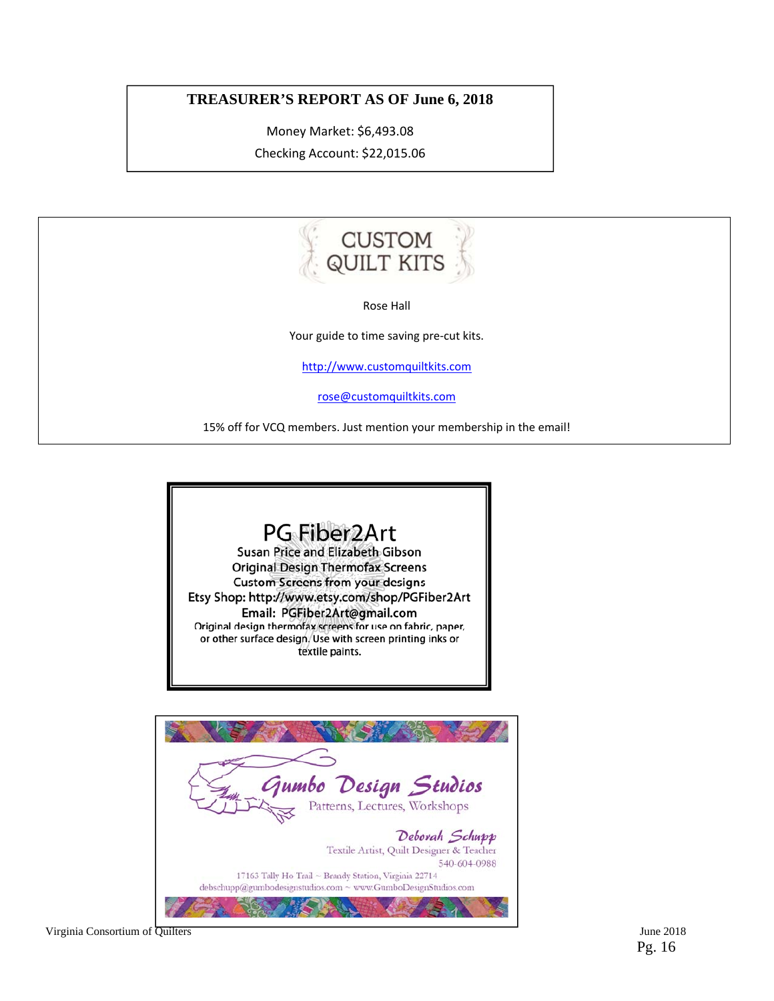#### **TREASURER'S REPORT AS OF June 6, 2018**

Money Market: \$6,493.08 Checking Account: \$22,015.06



Rose Hall

Your guide to time saving pre-cut kits.

http://www.customquiltkits.com

rose@customquiltkits.com

15% off for VCQ members. Just mention your membership in the email!

## PG Fiber2Art

Susan Price and Elizabeth Gibson **Original Design Thermofax Screens Custom Screens from your designs** Etsy Shop: http://www.etsy.com/shop/PGFiber2Art Email: PGFiber2Art@gmail.com Original design thermofax screens for use on fabric, paper, or other surface design, Use with screen printing inks or textile paints.

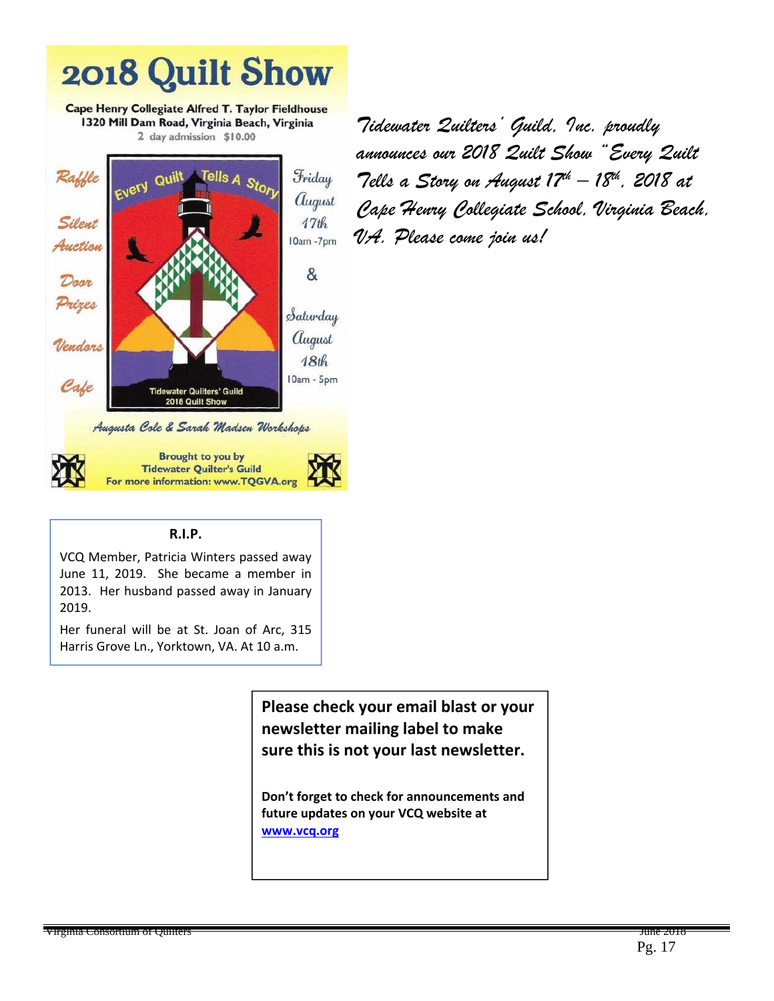

*Tidewater Quilters' Guild, Inc. proudly announces our 2018 Quilt Show "Every Quilt Tells a Story on August 17th – 18th, 2018 at Cape Henry Collegiate School, Virginia Beach, VA. Please come join us!* 

#### **R.I.P.**

VCQ Member, Patricia Winters passed away June 11, 2019. She became a member in 2013. Her husband passed away in January 2019.

Her funeral will be at St. Joan of Arc, 315 Harris Grove Ln., Yorktown, VA. At 10 a.m.

> **Please check your email blast or your newsletter mailing label to make sure this is not your last newsletter.**

**Don't forget to check for announcements and future updates on your VCQ website at www.vcq.org**